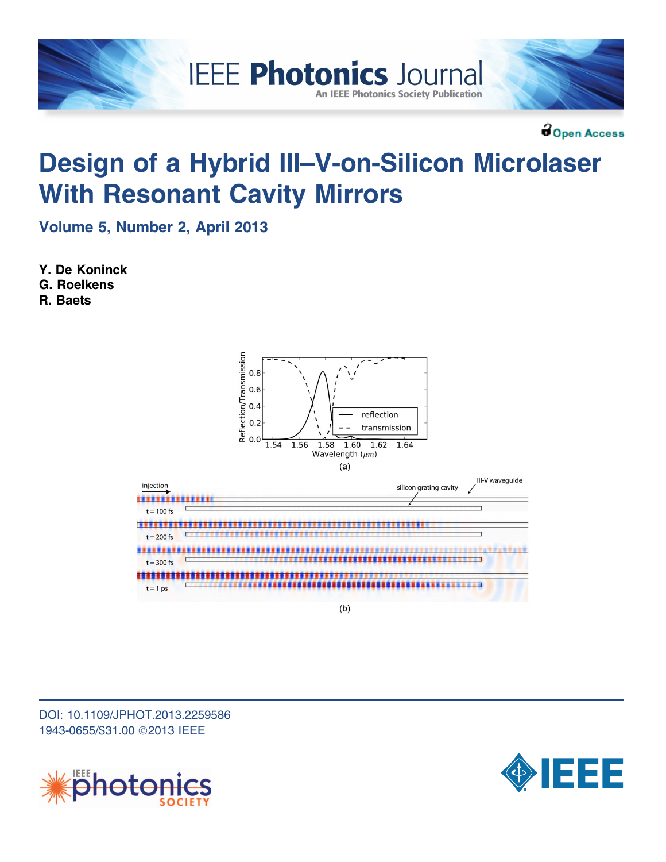

**Bopen Access** 

# Design of a Hybrid III–V-on-Silicon Microlaser With Resonant Cavity Mirrors

Volume 5, Number 2, April 2013

Y. De Koninck

G. Roelkens

R. Baets



DOI: 10.1109/JPHOT.2013.2259586 1943-0655/\$31.00 ©2013 IEEE



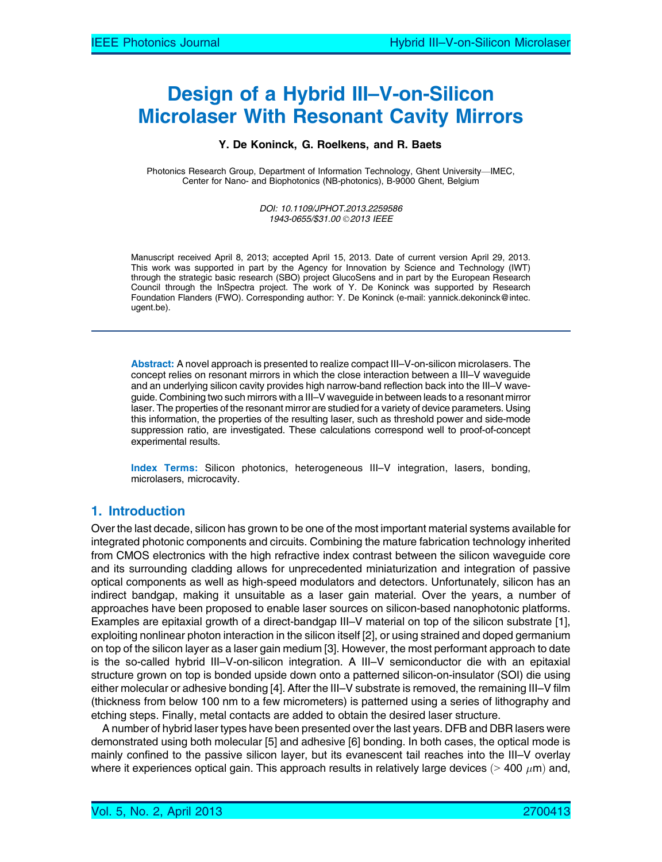## Design of a Hybrid III–V-on-Silicon Microlaser With Resonant Cavity Mirrors

#### Y. De Koninck, G. Roelkens, and R. Baets

Photonics Research Group, Department of Information Technology, Ghent University-IMEC, Center for Nano- and Biophotonics (NB-photonics), B-9000 Ghent, Belgium

> DOI: 10.1109/JPHOT.2013.2259586 1943-0655/\$31.00 © 2013 IEEE

Manuscript received April 8, 2013; accepted April 15, 2013. Date of current version April 29, 2013. This work was supported in part by the Agency for Innovation by Science and Technology (IWT) through the strategic basic research (SBO) project GlucoSens and in part by the European Research Council through the InSpectra project. The work of Y. De Koninck was supported by Research Foundation Flanders (FWO). Corresponding author: Y. De Koninck (e-mail: yannick.dekoninck@intec. ugent.be).

Abstract: A novel approach is presented to realize compact III–V-on-silicon microlasers. The concept relies on resonant mirrors in which the close interaction between a III–V waveguide and an underlying silicon cavity provides high narrow-band reflection back into the III–V waveguide. Combining two such mirrors with a III–V waveguide in between leads to a resonant mirror laser. The properties of the resonant mirror are studied for a variety of device parameters. Using this information, the properties of the resulting laser, such as threshold power and side-mode suppression ratio, are investigated. These calculations correspond well to proof-of-concept experimental results.

Index Terms: Silicon photonics, heterogeneous III-V integration, lasers, bonding, microlasers, microcavity.

## 1. Introduction

Over the last decade, silicon has grown to be one of the most important material systems available for integrated photonic components and circuits. Combining the mature fabrication technology inherited from CMOS electronics with the high refractive index contrast between the silicon waveguide core and its surrounding cladding allows for unprecedented miniaturization and integration of passive optical components as well as high-speed modulators and detectors. Unfortunately, silicon has an indirect bandgap, making it unsuitable as a laser gain material. Over the years, a number of approaches have been proposed to enable laser sources on silicon-based nanophotonic platforms. Examples are epitaxial growth of a direct-bandgap III–V material on top of the silicon substrate [1], exploiting nonlinear photon interaction in the silicon itself [2], or using strained and doped germanium on top of the silicon layer as a laser gain medium [3]. However, the most performant approach to date is the so-called hybrid III–V-on-silicon integration. A III–V semiconductor die with an epitaxial structure grown on top is bonded upside down onto a patterned silicon-on-insulator (SOI) die using either molecular or adhesive bonding [4]. After the III–V substrate is removed, the remaining III–V film (thickness from below 100 nm to a few micrometers) is patterned using a series of lithography and etching steps. Finally, metal contacts are added to obtain the desired laser structure.

A number of hybrid laser types have been presented over the last years. DFB and DBR lasers were demonstrated using both molecular [5] and adhesive [6] bonding. In both cases, the optical mode is mainly confined to the passive silicon layer, but its evanescent tail reaches into the III–V overlay where it experiences optical gain. This approach results in relatively large devices (> 400  $\mu$ m) and,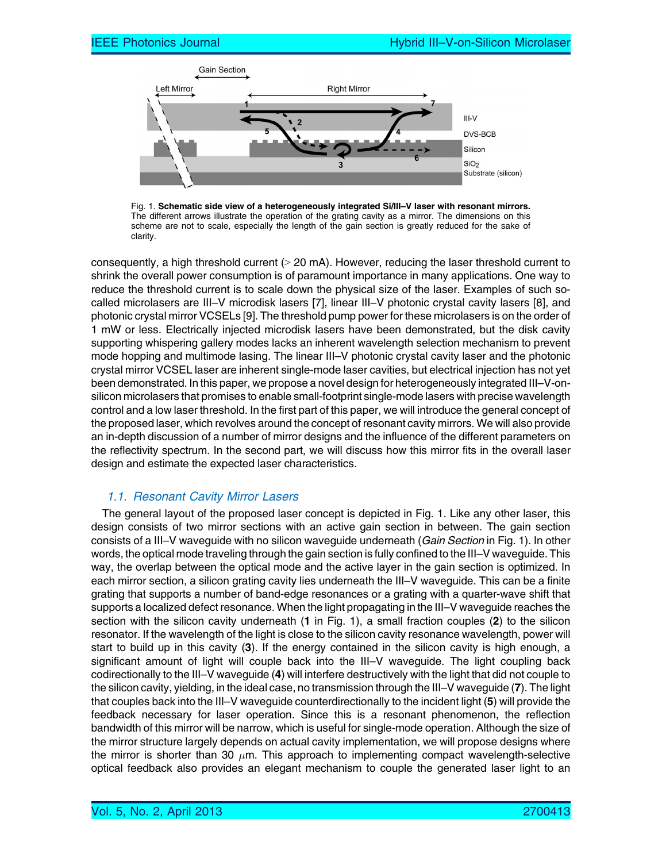

Fig. 1. Schematic side view of a heterogeneously integrated Si/III–V laser with resonant mirrors. The different arrows illustrate the operation of the grating cavity as a mirror. The dimensions on this scheme are not to scale, especially the length of the gain section is greatly reduced for the sake of clarity.

consequently, a high threshold current  $(> 20 \text{ mA})$ . However, reducing the laser threshold current to shrink the overall power consumption is of paramount importance in many applications. One way to reduce the threshold current is to scale down the physical size of the laser. Examples of such socalled microlasers are III–V microdisk lasers [7], linear III–V photonic crystal cavity lasers [8], and photonic crystal mirror VCSELs [9]. The threshold pump power for these microlasers is on the order of 1 mW or less. Electrically injected microdisk lasers have been demonstrated, but the disk cavity supporting whispering gallery modes lacks an inherent wavelength selection mechanism to prevent mode hopping and multimode lasing. The linear III–V photonic crystal cavity laser and the photonic crystal mirror VCSEL laser are inherent single-mode laser cavities, but electrical injection has not yet been demonstrated. In this paper, we propose a novel design for heterogeneously integrated III–V-onsilicon microlasers that promises to enable small-footprint single-mode lasers with precise wavelength control and a low laser threshold. In the first part of this paper, we will introduce the general concept of the proposed laser, which revolves around the concept of resonant cavity mirrors. We will also provide an in-depth discussion of a number of mirror designs and the influence of the different parameters on the reflectivity spectrum. In the second part, we will discuss how this mirror fits in the overall laser design and estimate the expected laser characteristics.

## 1.1. Resonant Cavity Mirror Lasers

The general layout of the proposed laser concept is depicted in Fig. 1. Like any other laser, this design consists of two mirror sections with an active gain section in between. The gain section consists of a III–V waveguide with no silicon waveguide underneath (Gain Section in Fig. 1). In other words, the optical mode traveling through the gain section is fully confined to the III–V waveguide. This way, the overlap between the optical mode and the active layer in the gain section is optimized. In each mirror section, a silicon grating cavity lies underneath the III–V waveguide. This can be a finite grating that supports a number of band-edge resonances or a grating with a quarter-wave shift that supports a localized defect resonance. When the light propagating in the III–V waveguide reaches the section with the silicon cavity underneath (1 in Fig. 1), a small fraction couples (2) to the silicon resonator. If the wavelength of the light is close to the silicon cavity resonance wavelength, power will start to build up in this cavity (3). If the energy contained in the silicon cavity is high enough, a significant amount of light will couple back into the III–V waveguide. The light coupling back codirectionally to the III–V waveguide (4) will interfere destructively with the light that did not couple to the silicon cavity, yielding, in the ideal case, no transmission through the III–V waveguide (7). The light that couples back into the III–V waveguide counterdirectionally to the incident light (5) will provide the feedback necessary for laser operation. Since this is a resonant phenomenon, the reflection bandwidth of this mirror will be narrow, which is useful for single-mode operation. Although the size of the mirror structure largely depends on actual cavity implementation, we will propose designs where the mirror is shorter than 30  $\mu$ m. This approach to implementing compact wavelength-selective optical feedback also provides an elegant mechanism to couple the generated laser light to an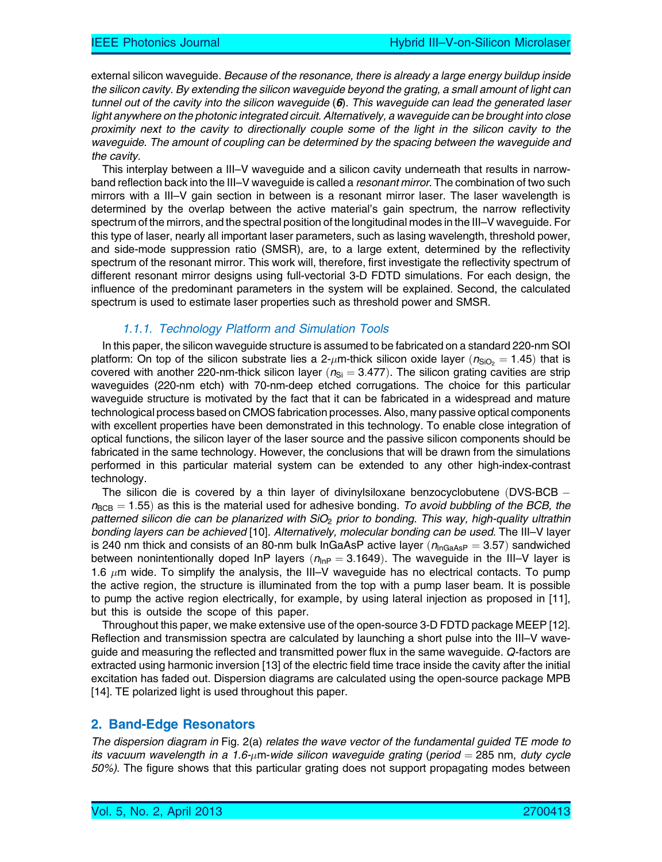external silicon waveguide. Because of the resonance, there is already a large energy buildup inside the silicon cavity. By extending the silicon waveguide beyond the grating, a small amount of light can tunnel out of the cavity into the silicon waveguide  $(6)$ . This waveguide can lead the generated laser light anywhere on the photonic integrated circuit. Alternatively, a waveguide can be brought into close proximity next to the cavity to directionally couple some of the light in the silicon cavity to the waveguide. The amount of coupling can be determined by the spacing between the waveguide and the cavity.

This interplay between a III–V waveguide and a silicon cavity underneath that results in narrowband reflection back into the III–V waveguide is called a *resonant mirror*. The combination of two such mirrors with a III–V gain section in between is a resonant mirror laser. The laser wavelength is determined by the overlap between the active material's gain spectrum, the narrow reflectivity spectrum of the mirrors, and the spectral position of the longitudinal modes in the III–V waveguide. For this type of laser, nearly all important laser parameters, such as lasing wavelength, threshold power, and side-mode suppression ratio (SMSR), are, to a large extent, determined by the reflectivity spectrum of the resonant mirror. This work will, therefore, first investigate the reflectivity spectrum of different resonant mirror designs using full-vectorial 3-D FDTD simulations. For each design, the influence of the predominant parameters in the system will be explained. Second, the calculated spectrum is used to estimate laser properties such as threshold power and SMSR.

## 1.1.1. Technology Platform and Simulation Tools

In this paper, the silicon waveguide structure is assumed to be fabricated on a standard 220-nm SOI platform: On top of the silicon substrate lies a 2- $\mu$ m-thick silicon oxide layer  $(n_{\sf SiO_2}=1.45)$  that is covered with another 220-nm-thick silicon layer  $(n<sub>Si</sub> = 3.477)$ . The silicon grating cavities are strip waveguides (220-nm etch) with 70-nm-deep etched corrugations. The choice for this particular waveguide structure is motivated by the fact that it can be fabricated in a widespread and mature technological process based on CMOS fabrication processes. Also, many passive optical components with excellent properties have been demonstrated in this technology. To enable close integration of optical functions, the silicon layer of the laser source and the passive silicon components should be fabricated in the same technology. However, the conclusions that will be drawn from the simulations performed in this particular material system can be extended to any other high-index-contrast technology.

The silicon die is covered by a thin layer of divinylsiloxane benzocyclobutene (DVS-BCB  $$  $n_{\text{BCB}} = 1.55$ ) as this is the material used for adhesive bonding. To avoid bubbling of the BCB, the patterned silicon die can be planarized with  $SiO<sub>2</sub>$  prior to bonding. This way, high-quality ultrathin bonding layers can be achieved [10]. Alternatively, molecular bonding can be used. The III–V layer is 240 nm thick and consists of an 80-nm bulk InGaAsP active layer ( $n_{\text{InGaAsP}} = 3.57$ ) sandwiched between nonintentionally doped InP layers  $(n_{\text{InP}} = 3.1649)$ . The waveguide in the III–V layer is 1.6  $\mu$ m wide. To simplify the analysis, the III–V waveguide has no electrical contacts. To pump the active region, the structure is illuminated from the top with a pump laser beam. It is possible to pump the active region electrically, for example, by using lateral injection as proposed in [11], but this is outside the scope of this paper.

Throughout this paper, we make extensive use of the open-source 3-D FDTD package MEEP [12]. Reflection and transmission spectra are calculated by launching a short pulse into the III–V waveguide and measuring the reflected and transmitted power flux in the same waveguide. Q-factors are extracted using harmonic inversion [13] of the electric field time trace inside the cavity after the initial excitation has faded out. Dispersion diagrams are calculated using the open-source package MPB [14]. TE polarized light is used throughout this paper.

## 2. Band-Edge Resonators

The dispersion diagram in Fig. 2(a) relates the wave vector of the fundamental guided TE mode to its vacuum wavelength in a 1.6- $\mu$ m-wide silicon waveguide grating (period = 285 nm, duty cycle 50%). The figure shows that this particular grating does not support propagating modes between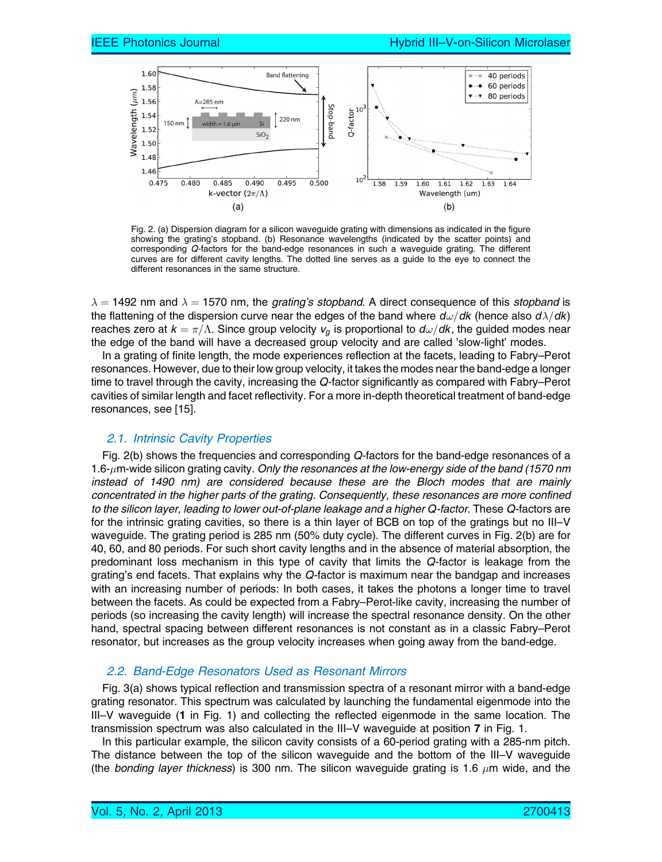

Fig. 2. (a) Dispersion diagram for a silicon waveguide grating with dimensions as indicated in the figure showing the grating's stopband. (b) Resonance wavelengths (indicated by the scatter points) and corresponding Q-factors for the band-edge resonances in such a waveguide grating. The different curves are for different cavity lengths. The dotted line serves as a guide to the eye to connect the different resonances in the same structure.

 $\lambda = 1492$  nm and  $\lambda = 1570$  nm, the *grating's stopband*. A direct consequence of this *stopband* is the flattening of the dispersion curve near the edges of the band where  $d\omega/dk$  (hence also  $d\lambda/dk$ ) reaches zero at  $k=\pi/\Lambda.$  Since group velocity  $v_g$  is proportional to  $d\omega/dk,$  the guided modes near the edge of the band will have a decreased group velocity and are called 'slow-light' modes.

In a grating of finite length, the mode experiences reflection at the facets, leading to Fabry–Perot resonances. However, due to their low group velocity, it takes the modes near the band-edge a longer time to travel through the cavity, increasing the Q-factor significantly as compared with Fabry–Perot cavities of similar length and facet reflectivity. For a more in-depth theoretical treatment of band-edge resonances, see [15].

#### 2.1. Intrinsic Cavity Properties

Fig. 2(b) shows the frequencies and corresponding Q-factors for the band-edge resonances of a 1.6-µm-wide silicon grating cavity. Only the resonances at the low-energy side of the band (1570 nm instead of 1490 nm) are considered because these are the Bloch modes that are mainly concentrated in the higher parts of the grating. Consequently, these resonances are more confined to the silicon layer, leading to lower out-of-plane leakage and a higher Q-factor. These Q-factors are for the intrinsic grating cavities, so there is a thin layer of BCB on top of the gratings but no III–V waveguide. The grating period is 285 nm (50% duty cycle). The different curves in Fig. 2(b) are for 40, 60, and 80 periods. For such short cavity lengths and in the absence of material absorption, the predominant loss mechanism in this type of cavity that limits the Q-factor is leakage from the grating's end facets. That explains why the Q-factor is maximum near the bandgap and increases with an increasing number of periods: In both cases, it takes the photons a longer time to travel between the facets. As could be expected from a Fabry–Perot-like cavity, increasing the number of periods (so increasing the cavity length) will increase the spectral resonance density. On the other hand, spectral spacing between different resonances is not constant as in a classic Fabry–Perot resonator, but increases as the group velocity increases when going away from the band-edge.

#### 2.2. Band-Edge Resonators Used as Resonant Mirrors

Fig. 3(a) shows typical reflection and transmission spectra of a resonant mirror with a band-edge grating resonator. This spectrum was calculated by launching the fundamental eigenmode into the III–V waveguide (1 in Fig. 1) and collecting the reflected eigenmode in the same location. The transmission spectrum was also calculated in the III–V waveguide at position 7 in Fig. 1.

In this particular example, the silicon cavity consists of a 60-period grating with a 285-nm pitch. The distance between the top of the silicon waveguide and the bottom of the III–V waveguide (the *bonding layer thickness*) is 300 nm. The silicon waveguide grating is 1.6  $\mu$ m wide, and the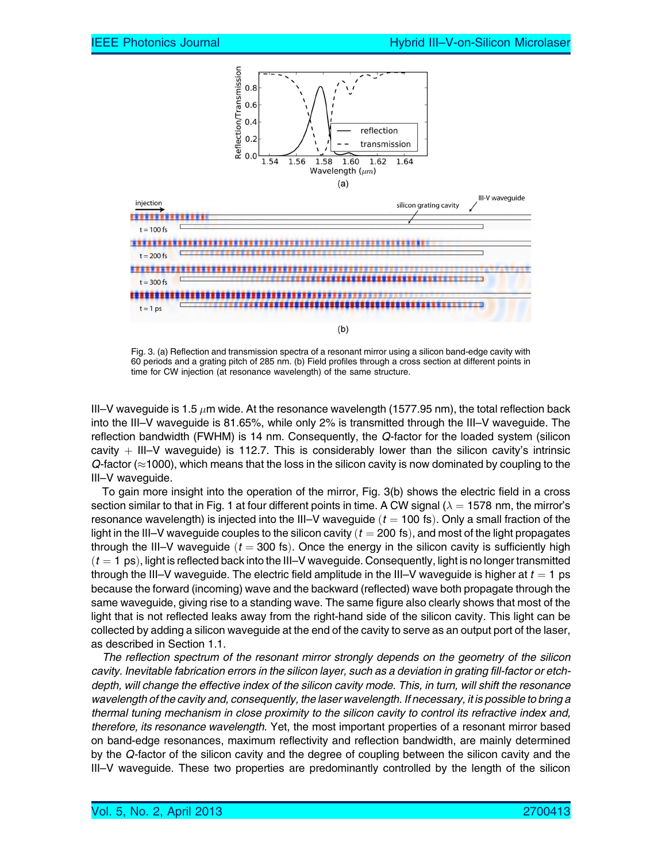

Fig. 3. (a) Reflection and transmission spectra of a resonant mirror using a silicon band-edge cavity with 60 periods and a grating pitch of 285 nm. (b) Field profiles through a cross section at different points in time for CW injection (at resonance wavelength) of the same structure.

III–V waveguide is 1.5  $\mu$ m wide. At the resonance wavelength (1577.95 nm), the total reflection back into the III–V waveguide is 81.65%, while only 2% is transmitted through the III–V waveguide. The reflection bandwidth (FWHM) is 14 nm. Consequently, the Q-factor for the loaded system (silicon cavity  $+$  III–V waveguide) is 112.7. This is considerably lower than the silicon cavity's intrinsic  $Q$ -factor ( $\approx$ 1000), which means that the loss in the silicon cavity is now dominated by coupling to the III–V waveguide.

To gain more insight into the operation of the mirror, Fig. 3(b) shows the electric field in a cross section similar to that in Fig. 1 at four different points in time. A CW signal ( $\lambda = 1578$  nm, the mirror's resonance wavelength) is injected into the III–V waveguide  $(t = 100 \text{ fs})$ . Only a small fraction of the light in the III–V waveguide couples to the silicon cavity ( $t = 200$  fs), and most of the light propagates through the III–V waveguide  $(t = 300 \text{ fs})$ . Once the energy in the silicon cavity is sufficiently high  $(t = 1 \text{ ps})$ , light is reflected back into the III–V waveguide. Consequently, light is no longer transmitted through the III–V waveguide. The electric field amplitude in the III–V waveguide is higher at  $t = 1$  ps because the forward (incoming) wave and the backward (reflected) wave both propagate through the same waveguide, giving rise to a standing wave. The same figure also clearly shows that most of the light that is not reflected leaks away from the right-hand side of the silicon cavity. This light can be collected by adding a silicon waveguide at the end of the cavity to serve as an output port of the laser, as described in Section 1.1.

The reflection spectrum of the resonant mirror strongly depends on the geometry of the silicon cavity. Inevitable fabrication errors in the silicon layer, such as a deviation in grating fill-factor or etchdepth, will change the effective index of the silicon cavity mode. This, in turn, will shift the resonance wavelength of the cavity and, consequently, the laser wavelength. If necessary, it is possible to bring a thermal tuning mechanism in close proximity to the silicon cavity to control its refractive index and, therefore, its resonance wavelength. Yet, the most important properties of a resonant mirror based on band-edge resonances, maximum reflectivity and reflection bandwidth, are mainly determined by the Q-factor of the silicon cavity and the degree of coupling between the silicon cavity and the III–V waveguide. These two properties are predominantly controlled by the length of the silicon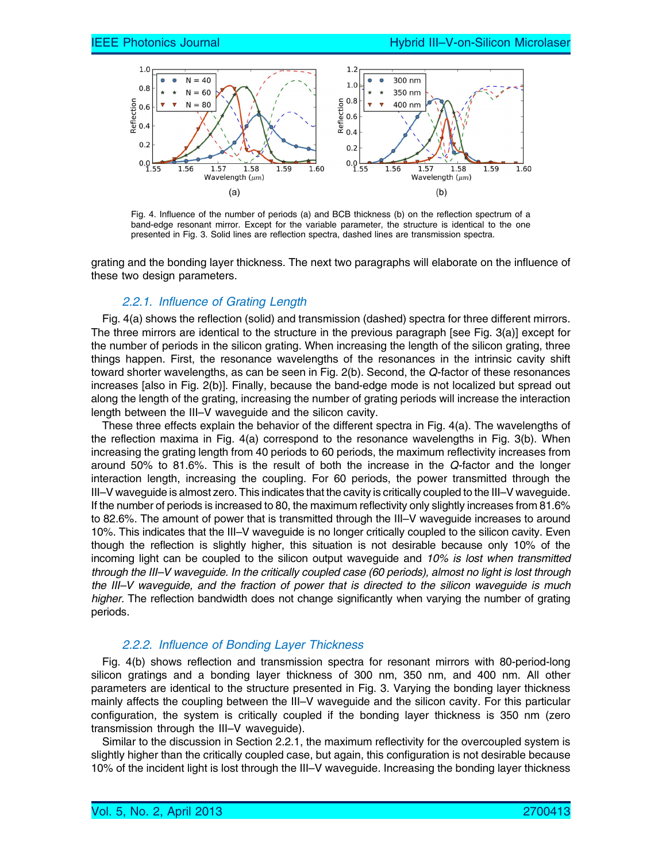

Fig. 4. Influence of the number of periods (a) and BCB thickness (b) on the reflection spectrum of a band-edge resonant mirror. Except for the variable parameter, the structure is identical to the one presented in Fig. 3. Solid lines are reflection spectra, dashed lines are transmission spectra.

grating and the bonding layer thickness. The next two paragraphs will elaborate on the influence of these two design parameters.

#### 2.2.1. Influence of Grating Length

Fig. 4(a) shows the reflection (solid) and transmission (dashed) spectra for three different mirrors. The three mirrors are identical to the structure in the previous paragraph [see Fig. 3(a)] except for the number of periods in the silicon grating. When increasing the length of the silicon grating, three things happen. First, the resonance wavelengths of the resonances in the intrinsic cavity shift toward shorter wavelengths, as can be seen in Fig. 2(b). Second, the Q-factor of these resonances increases [also in Fig. 2(b)]. Finally, because the band-edge mode is not localized but spread out along the length of the grating, increasing the number of grating periods will increase the interaction length between the III–V waveguide and the silicon cavity.

These three effects explain the behavior of the different spectra in Fig. 4(a). The wavelengths of the reflection maxima in Fig. 4(a) correspond to the resonance wavelengths in Fig. 3(b). When increasing the grating length from 40 periods to 60 periods, the maximum reflectivity increases from around 50% to 81.6%. This is the result of both the increase in the Q-factor and the longer interaction length, increasing the coupling. For 60 periods, the power transmitted through the III–V waveguide is almost zero. This indicates that the cavity is critically coupled to the III–V waveguide. If the number of periods is increased to 80, the maximum reflectivity only slightly increases from 81.6% to 82.6%. The amount of power that is transmitted through the III–V waveguide increases to around 10%. This indicates that the III–V waveguide is no longer critically coupled to the silicon cavity. Even though the reflection is slightly higher, this situation is not desirable because only 10% of the incoming light can be coupled to the silicon output waveguide and 10% is lost when transmitted through the III–V waveguide. In the critically coupled case (60 periods), almost no light is lost through the III–V waveguide, and the fraction of power that is directed to the silicon waveguide is much higher. The reflection bandwidth does not change significantly when varying the number of grating periods.

#### 2.2.2. Influence of Bonding Layer Thickness

Fig. 4(b) shows reflection and transmission spectra for resonant mirrors with 80-period-long silicon gratings and a bonding layer thickness of 300 nm, 350 nm, and 400 nm. All other parameters are identical to the structure presented in Fig. 3. Varying the bonding layer thickness mainly affects the coupling between the III–V waveguide and the silicon cavity. For this particular configuration, the system is critically coupled if the bonding layer thickness is 350 nm (zero transmission through the III–V waveguide).

Similar to the discussion in Section 2.2.1, the maximum reflectivity for the overcoupled system is slightly higher than the critically coupled case, but again, this configuration is not desirable because 10% of the incident light is lost through the III–V waveguide. Increasing the bonding layer thickness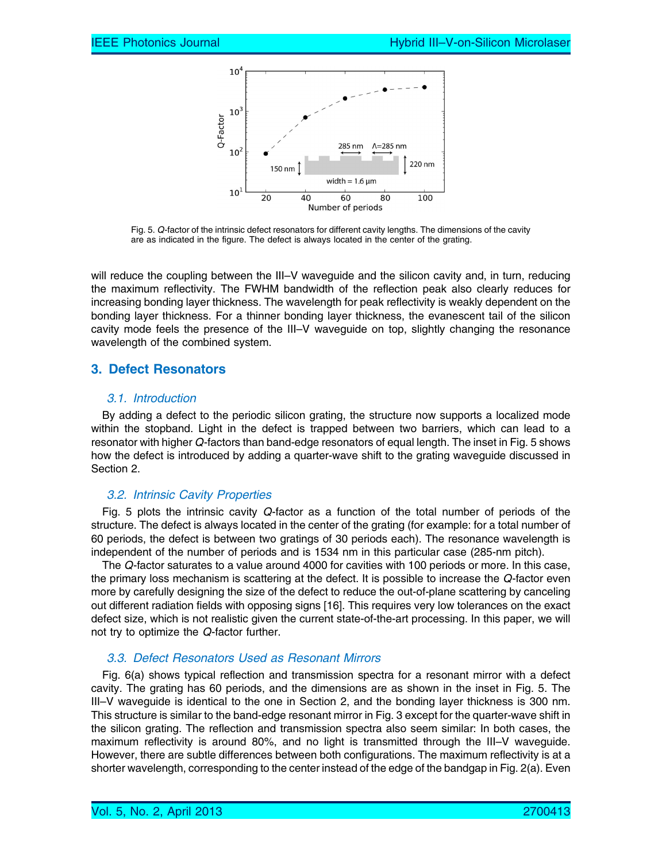

Fig. 5. Q-factor of the intrinsic defect resonators for different cavity lengths. The dimensions of the cavity are as indicated in the figure. The defect is always located in the center of the grating.

will reduce the coupling between the III–V waveguide and the silicon cavity and, in turn, reducing the maximum reflectivity. The FWHM bandwidth of the reflection peak also clearly reduces for increasing bonding layer thickness. The wavelength for peak reflectivity is weakly dependent on the bonding layer thickness. For a thinner bonding layer thickness, the evanescent tail of the silicon cavity mode feels the presence of the III–V waveguide on top, slightly changing the resonance wavelength of the combined system.

## 3. Defect Resonators

## 3.1. Introduction

By adding a defect to the periodic silicon grating, the structure now supports a localized mode within the stopband. Light in the defect is trapped between two barriers, which can lead to a resonator with higher Q-factors than band-edge resonators of equal length. The inset in Fig. 5 shows how the defect is introduced by adding a quarter-wave shift to the grating waveguide discussed in Section 2.

## 3.2. Intrinsic Cavity Properties

Fig. 5 plots the intrinsic cavity Q-factor as a function of the total number of periods of the structure. The defect is always located in the center of the grating (for example: for a total number of 60 periods, the defect is between two gratings of 30 periods each). The resonance wavelength is independent of the number of periods and is 1534 nm in this particular case (285-nm pitch).

The Q-factor saturates to a value around 4000 for cavities with 100 periods or more. In this case, the primary loss mechanism is scattering at the defect. It is possible to increase the Q-factor even more by carefully designing the size of the defect to reduce the out-of-plane scattering by canceling out different radiation fields with opposing signs [16]. This requires very low tolerances on the exact defect size, which is not realistic given the current state-of-the-art processing. In this paper, we will not try to optimize the Q-factor further.

## 3.3. Defect Resonators Used as Resonant Mirrors

Fig. 6(a) shows typical reflection and transmission spectra for a resonant mirror with a defect cavity. The grating has 60 periods, and the dimensions are as shown in the inset in Fig. 5. The III–V waveguide is identical to the one in Section 2, and the bonding layer thickness is 300 nm. This structure is similar to the band-edge resonant mirror in Fig. 3 except for the quarter-wave shift in the silicon grating. The reflection and transmission spectra also seem similar: In both cases, the maximum reflectivity is around 80%, and no light is transmitted through the III–V waveguide. However, there are subtle differences between both configurations. The maximum reflectivity is at a shorter wavelength, corresponding to the center instead of the edge of the bandgap in Fig. 2(a). Even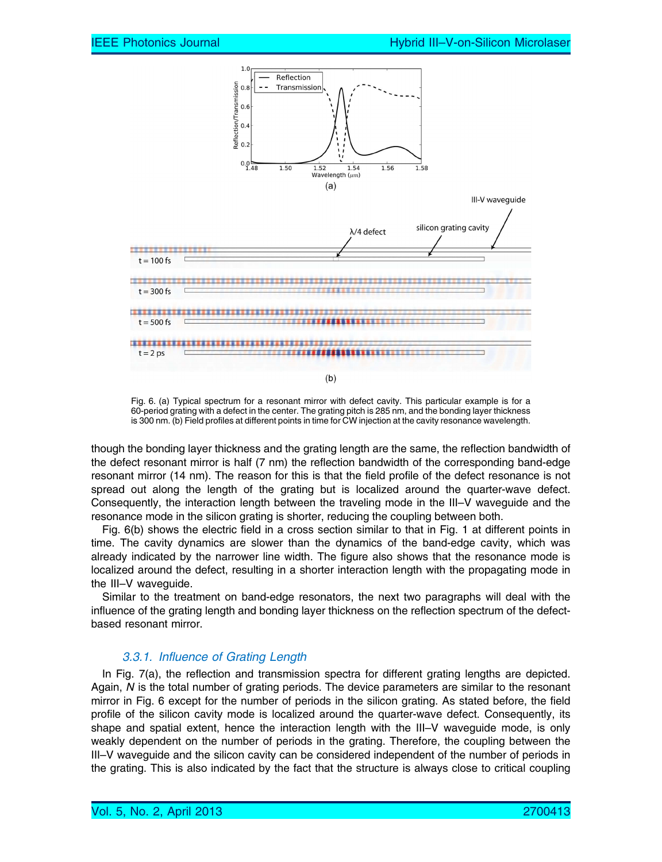

Fig. 6. (a) Typical spectrum for a resonant mirror with defect cavity. This particular example is for a 60-period grating with a defect in the center. The grating pitch is 285 nm, and the bonding layer thickness is 300 nm. (b) Field profiles at different points in time for CW injection at the cavity resonance wavelength.

though the bonding layer thickness and the grating length are the same, the reflection bandwidth of the defect resonant mirror is half (7 nm) the reflection bandwidth of the corresponding band-edge resonant mirror (14 nm). The reason for this is that the field profile of the defect resonance is not spread out along the length of the grating but is localized around the quarter-wave defect. Consequently, the interaction length between the traveling mode in the III–V waveguide and the resonance mode in the silicon grating is shorter, reducing the coupling between both.

Fig. 6(b) shows the electric field in a cross section similar to that in Fig. 1 at different points in time. The cavity dynamics are slower than the dynamics of the band-edge cavity, which was already indicated by the narrower line width. The figure also shows that the resonance mode is localized around the defect, resulting in a shorter interaction length with the propagating mode in the III–V waveguide.

Similar to the treatment on band-edge resonators, the next two paragraphs will deal with the influence of the grating length and bonding layer thickness on the reflection spectrum of the defectbased resonant mirror.

## 3.3.1. Influence of Grating Length

In Fig. 7(a), the reflection and transmission spectra for different grating lengths are depicted. Again, N is the total number of grating periods. The device parameters are similar to the resonant mirror in Fig. 6 except for the number of periods in the silicon grating. As stated before, the field profile of the silicon cavity mode is localized around the quarter-wave defect. Consequently, its shape and spatial extent, hence the interaction length with the III–V waveguide mode, is only weakly dependent on the number of periods in the grating. Therefore, the coupling between the III–V waveguide and the silicon cavity can be considered independent of the number of periods in the grating. This is also indicated by the fact that the structure is always close to critical coupling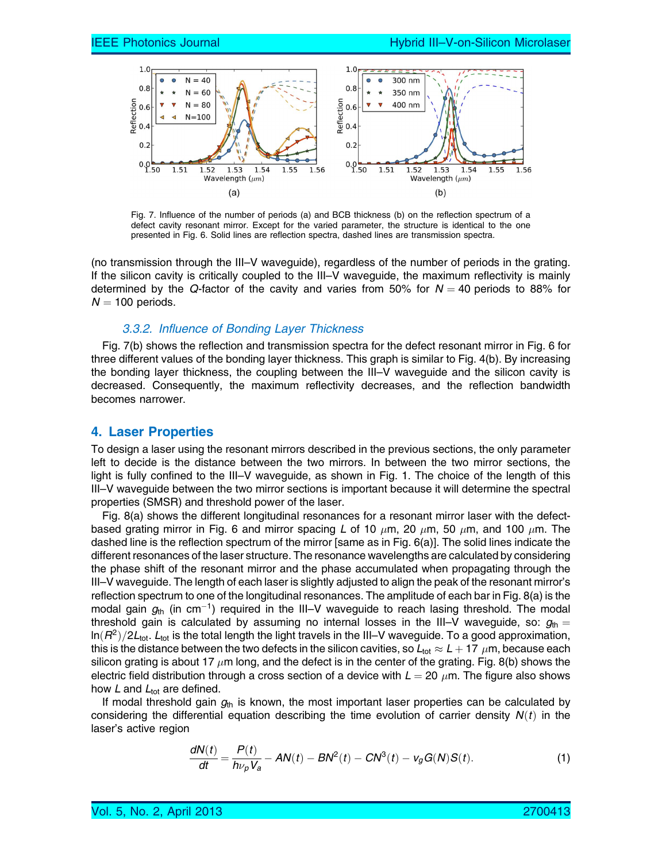

Fig. 7. Influence of the number of periods (a) and BCB thickness (b) on the reflection spectrum of a defect cavity resonant mirror. Except for the varied parameter, the structure is identical to the one presented in Fig. 6. Solid lines are reflection spectra, dashed lines are transmission spectra.

(no transmission through the III–V waveguide), regardless of the number of periods in the grating. If the silicon cavity is critically coupled to the III–V waveguide, the maximum reflectivity is mainly determined by the Q-factor of the cavity and varies from 50% for  $N = 40$  periods to 88% for  $N = 100$  periods.

#### 3.3.2. Influence of Bonding Layer Thickness

Fig. 7(b) shows the reflection and transmission spectra for the defect resonant mirror in Fig. 6 for three different values of the bonding layer thickness. This graph is similar to Fig. 4(b). By increasing the bonding layer thickness, the coupling between the III–V waveguide and the silicon cavity is decreased. Consequently, the maximum reflectivity decreases, and the reflection bandwidth becomes narrower.

## 4. Laser Properties

To design a laser using the resonant mirrors described in the previous sections, the only parameter left to decide is the distance between the two mirrors. In between the two mirror sections, the light is fully confined to the III–V waveguide, as shown in Fig. 1. The choice of the length of this III–V waveguide between the two mirror sections is important because it will determine the spectral properties (SMSR) and threshold power of the laser.

Fig. 8(a) shows the different longitudinal resonances for a resonant mirror laser with the defectbased grating mirror in Fig. 6 and mirror spacing  $L$  of 10  $\mu$ m, 20  $\mu$ m, 50  $\mu$ m, and 100  $\mu$ m. The dashed line is the reflection spectrum of the mirror [same as in Fig. 6(a)]. The solid lines indicate the different resonances of the laser structure. The resonance wavelengths are calculated by considering the phase shift of the resonant mirror and the phase accumulated when propagating through the III–V waveguide. The length of each laser is slightly adjusted to align the peak of the resonant mirror's reflection spectrum to one of the longitudinal resonances. The amplitude of each bar in Fig. 8(a) is the modal gain  $g_{\text{th}}$  (in cm<sup>-1</sup>) required in the III–V waveguide to reach lasing threshold. The modal threshold gain is calculated by assuming no internal losses in the III–V waveguide, so:  $g_{\text{th}} =$  $\ln(R^2)/2L_{\text{tot}}$ . L<sub>tot</sub> is the total length the light travels in the III–V waveguide. To a good approximation, this is the distance between the two defects in the silicon cavities, so  $L_{\rm tot}\approx L+$  17  $\,\mu$ m, because each silicon grating is about 17  $\mu$ m long, and the defect is in the center of the grating. Fig. 8(b) shows the electric field distribution through a cross section of a device with  $L=20\;\mu$ m. The figure also shows how  $L$  and  $L_{\text{tot}}$  are defined.

If modal threshold gain  $g<sub>th</sub>$  is known, the most important laser properties can be calculated by considering the differential equation describing the time evolution of carrier density  $N(t)$  in the laser's active region

$$
\frac{dN(t)}{dt} = \frac{P(t)}{h\nu_p V_a} - AN(t) - BN^2(t) - CN^3(t) - v_g G(N)S(t). \tag{1}
$$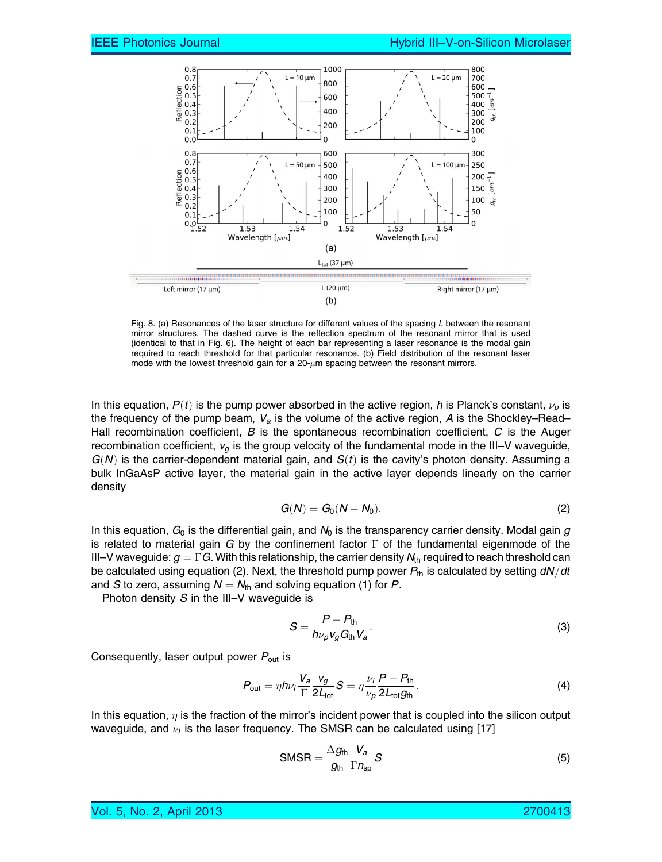

Fig. 8. (a) Resonances of the laser structure for different values of the spacing L between the resonant mirror structures. The dashed curve is the reflection spectrum of the resonant mirror that is used (identical to that in Fig. 6). The height of each bar representing a laser resonance is the modal gain required to reach threshold for that particular resonance. (b) Field distribution of the resonant laser mode with the lowest threshold gain for a  $20 - \mu m$  spacing between the resonant mirrors.

In this equation,  $P(t)$  is the pump power absorbed in the active region, h is Planck's constant,  $\nu_p$  is the frequency of the pump beam,  $V_a$  is the volume of the active region, A is the Shockley–Read– Hall recombination coefficient,  $B$  is the spontaneous recombination coefficient,  $C$  is the Auger recombination coefficient,  $v_q$  is the group velocity of the fundamental mode in the III–V waveguide,  $G(N)$  is the carrier-dependent material gain, and  $S(t)$  is the cavity's photon density. Assuming a bulk InGaAsP active layer, the material gain in the active layer depends linearly on the carrier density

$$
G(N)=G_0(N-N_0). \hspace{1.5cm} (2)
$$

In this equation,  $G_0$  is the differential gain, and  $N_0$  is the transparency carrier density. Modal gain g is related to material gain G by the confinement factor  $\Gamma$  of the fundamental eigenmode of the III–V waveguide:  $g = \Gamma G$ . With this relationship, the carrier density  $N_{th}$  required to reach threshold can be calculated using equation (2). Next, the threshold pump power  $P_{th}$  is calculated by setting  $dN/dt$ and S to zero, assuming  $N = N_{th}$  and solving equation (1) for P.

Photon density  $S$  in the III–V waveguide is

$$
S = \frac{P - P_{\text{th}}}{h\nu_p v_g G_{\text{th}} V_a}.
$$
\n(3)

Consequently, laser output power  $P_{\text{out}}$  is

$$
P_{\text{out}} = \eta h \nu_l \frac{V_a}{\Gamma} \frac{v_g}{2L_{\text{tot}}} S = \eta \frac{\nu_l}{\nu_p} \frac{P - P_{\text{th}}}{2L_{\text{tot}} g_{\text{th}}}.
$$
(4)

In this equation,  $\eta$  is the fraction of the mirror's incident power that is coupled into the silicon output waveguide, and  $\nu_l$  is the laser frequency. The SMSR can be calculated using [17]

$$
SMSR = \frac{\Delta g_{\text{th}}}{g_{\text{th}}} \frac{V_a}{\Gamma n_{\text{sp}}} S \tag{5}
$$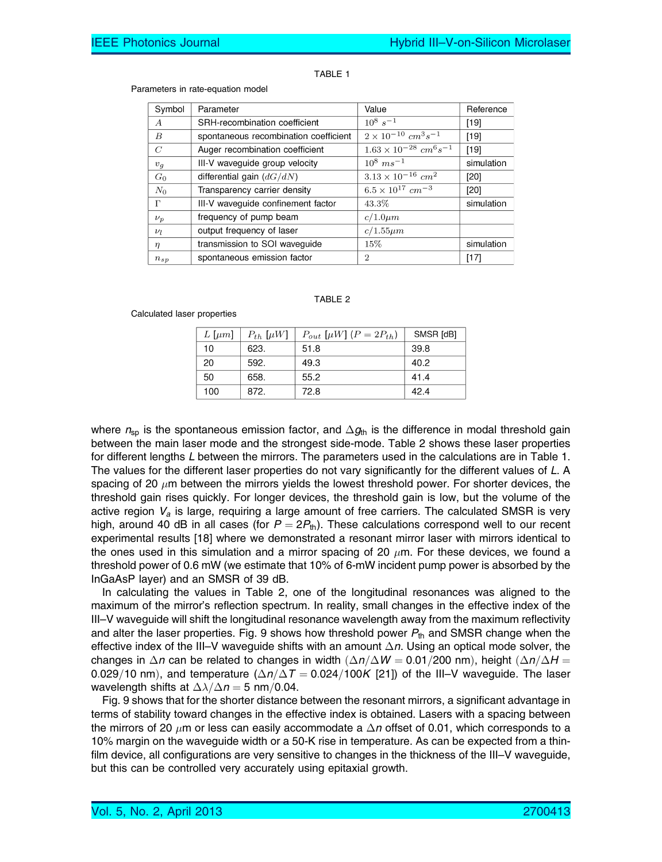#### TABLE 1

#### Parameters in rate-equation model

| Symbol           | Parameter                             | Value                                  | Reference  |
|------------------|---------------------------------------|----------------------------------------|------------|
| $\boldsymbol{A}$ | SRH-recombination coefficient         | $10^8 s^{-1}$                          | [19]       |
| B                | spontaneous recombination coefficient | $2 \times 10^{-10}$ $cm^3 s^{-1}$      | $[19]$     |
| $\,C$            | Auger recombination coefficient       | $1.63 \times 10^{-28}$ $cm^6 s^{-1}$   | $[19]$     |
| $v_g$            | III-V waveguide group velocity        | $10^8 \; ms^{-1}$                      | simulation |
| $G_0$            | differential gain $(dG/dN)$           | $3.13 \times 10^{-16}$ cm <sup>2</sup> | [20]       |
| $N_0$            | Transparency carrier density          | $6.5 \times 10^{17}$ cm <sup>-3</sup>  | [20]       |
| г                | III-V waveguide confinement factor    | 43.3%                                  | simulation |
| $\nu_p$          | frequency of pump beam                | $c/1.0 \mu m$                          |            |
| $\nu_l$          | output frequency of laser             | $c/1.55 \mu m$                         |            |
| $\eta$           | transmission to SOI waveguide         | $15\%$                                 | simulation |
| $n_{sp}$         | spontaneous emission factor           | $\overline{2}$                         | [17]       |

#### TABLE 2

#### Calculated laser properties

| $L \, \mathrm{[} \mu m \mathrm{]}$ | $P_{th}$ [ $\mu$ W] | $P_{out}$ [µW] $(P = 2P_{th})$ | SMSR [dB] |
|------------------------------------|---------------------|--------------------------------|-----------|
| 10                                 | 623.                | 51.8                           | 39.8      |
| 20                                 | 592.                | 49.3                           | 40.2      |
| 50                                 | 658.                | 55.2                           | 41.4      |
| 100                                | 872.                | 72.8                           | 42.4      |

where  $n_{sp}$  is the spontaneous emission factor, and  $\Delta g_{th}$  is the difference in modal threshold gain between the main laser mode and the strongest side-mode. Table 2 shows these laser properties for different lengths L between the mirrors. The parameters used in the calculations are in Table 1. The values for the different laser properties do not vary significantly for the different values of L. A spacing of 20  $\mu$ m between the mirrors yields the lowest threshold power. For shorter devices, the threshold gain rises quickly. For longer devices, the threshold gain is low, but the volume of the active region  $V_a$  is large, requiring a large amount of free carriers. The calculated SMSR is very high, around 40 dB in all cases (for  $P = 2P_{th}$ ). These calculations correspond well to our recent experimental results [18] where we demonstrated a resonant mirror laser with mirrors identical to the ones used in this simulation and a mirror spacing of 20  $\mu$ m. For these devices, we found a threshold power of 0.6 mW (we estimate that 10% of 6-mW incident pump power is absorbed by the InGaAsP layer) and an SMSR of 39 dB.

In calculating the values in Table 2, one of the longitudinal resonances was aligned to the maximum of the mirror's reflection spectrum. In reality, small changes in the effective index of the III–V waveguide will shift the longitudinal resonance wavelength away from the maximum reflectivity and alter the laser properties. Fig. 9 shows how threshold power  $P_{th}$  and SMSR change when the effective index of the III–V waveguide shifts with an amount  $\Delta n$ . Using an optical mode solver, the changes in  $\Delta n$  can be related to changes in width  $(\Delta n/\Delta W = 0.01/200$  nm), height  $(\Delta n/\Delta H =$ 0.029/10 nm), and temperature  $(\Delta n/\Delta T = 0.024/100K$  [21]) of the III–V waveguide. The laser wavelength shifts at  $\Delta \lambda / \Delta n = 5$  nm/0.04.

Fig. 9 shows that for the shorter distance between the resonant mirrors, a significant advantage in terms of stability toward changes in the effective index is obtained. Lasers with a spacing between the mirrors of 20  $\mu$ m or less can easily accommodate a  $\Delta n$  offset of 0.01, which corresponds to a 10% margin on the waveguide width or a 50-K rise in temperature. As can be expected from a thinfilm device, all configurations are very sensitive to changes in the thickness of the III–V waveguide, but this can be controlled very accurately using epitaxial growth.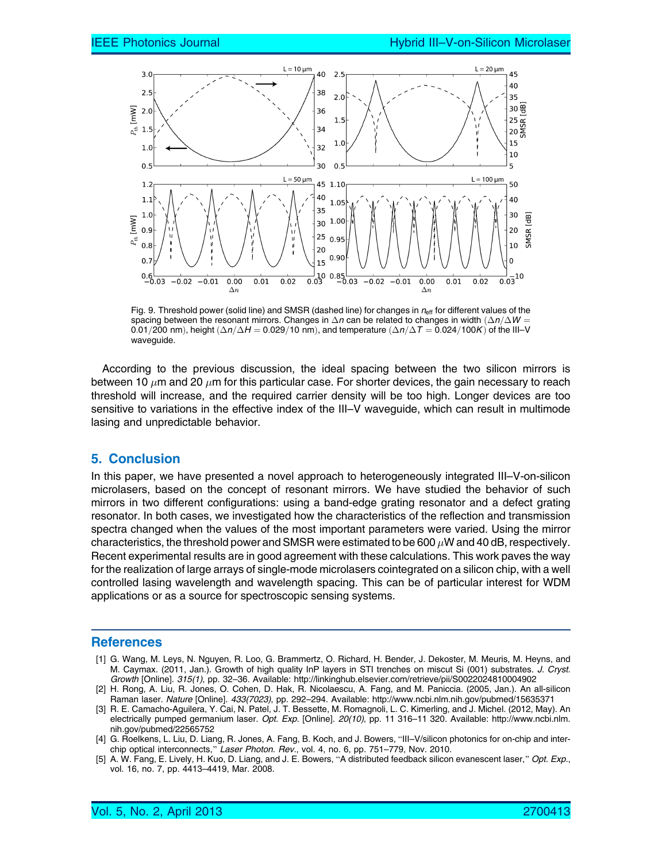

Fig. 9. Threshold power (solid line) and SMSR (dashed line) for changes in  $n_{\text{eff}}$  for different values of the spacing between the resonant mirrors. Changes in  $\Delta n$  can be related to changes in width  $(\Delta n/\Delta W =$ 0.01/200 nm), height  $(\Delta n/\Delta H = 0.029/10$  nm), and temperature  $(\Delta n/\Delta T = 0.024/100K)$  of the III–V waveguide.

According to the previous discussion, the ideal spacing between the two silicon mirrors is between 10  $\mu$ m and 20  $\mu$ m for this particular case. For shorter devices, the gain necessary to reach threshold will increase, and the required carrier density will be too high. Longer devices are too sensitive to variations in the effective index of the III–V waveguide, which can result in multimode lasing and unpredictable behavior.

## 5. Conclusion

In this paper, we have presented a novel approach to heterogeneously integrated III–V-on-silicon microlasers, based on the concept of resonant mirrors. We have studied the behavior of such mirrors in two different configurations: using a band-edge grating resonator and a defect grating resonator. In both cases, we investigated how the characteristics of the reflection and transmission spectra changed when the values of the most important parameters were varied. Using the mirror characteristics, the threshold power and SMSR were estimated to be 600  $\mu$ W and 40 dB, respectively. Recent experimental results are in good agreement with these calculations. This work paves the way for the realization of large arrays of single-mode microlasers cointegrated on a silicon chip, with a well controlled lasing wavelength and wavelength spacing. This can be of particular interest for WDM applications or as a source for spectroscopic sensing systems.

#### **References**

- [1] G. Wang, M. Leys, N. Nguyen, R. Loo, G. Brammertz, O. Richard, H. Bender, J. Dekoster, M. Meuris, M. Heyns, and M. Caymax. (2011, Jan.). Growth of high quality InP layers in STI trenches on miscut Si (001) substrates. J. Cryst. Growth [Online]. 315(1), pp. 32–36. Available: http://linkinghub.elsevier.com/retrieve/pii/S0022024810004902
- [2] H. Rong, A. Liu, R. Jones, O. Cohen, D. Hak, R. Nicolaescu, A. Fang, and M. Paniccia. (2005, Jan.). An all-silicon Raman laser. Nature [Online]. 433(7023), pp. 292–294. Available: http://www.ncbi.nlm.nih.gov/pubmed/15635371
- [3] R. E. Camacho-Aguilera, Y. Cai, N. Patel, J. T. Bessette, M. Romagnoli, L. C. Kimerling, and J. Michel. (2012, May). An electrically pumped germanium laser. Opt. Exp. [Online]. 20(10), pp. 11 316-11 320. Available: http://www.ncbi.nlm. nih.gov/pubmed/22565752
- [4] G. Roelkens, L. Liu, D. Liang, R. Jones, A. Fang, B. Koch, and J. Bowers, "III–V/silicon photonics for on-chip and interchip optical interconnects," Laser Photon. Rev., vol. 4, no. 6, pp. 751–779, Nov. 2010.
- [5] A. W. Fang, E. Lively, H. Kuo, D. Liang, and J. E. Bowers, "A distributed feedback silicon evanescent laser," Opt. Exp., vol. 16, no. 7, pp. 4413–4419, Mar. 2008.